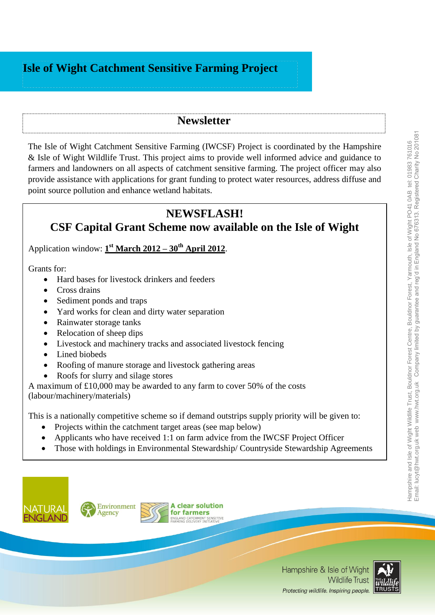## **Isle of Wight Catchment Sensitive Farming Project**

## **Newsletter**

The Isle of Wight Catchment Sensitive Farming (IWCSF) Project is coordinated by the [Hampshire](http://www.hwt.org.uk/)  [& Isle of Wight Wildlife Trust.](http://www.hwt.org.uk/) This project aims to provide well informed advice and guidance to farmers and landowners on all aspects of catchment sensitive farming. The project officer may also provide assistance with applications for grant funding to protect water resources, address diffuse and point source pollution and enhance wetland habitats.

## **NEWSFLASH!**

# **CSF Capital Grant Scheme now available on the Isle of Wight**

Application window: **1 st March 2012 – 30th April 2012**.

Grants for:

- Hard bases for livestock drinkers and feeders
- Cross drains
- Sediment ponds and traps
- Yard works for clean and dirty water separation
- Rainwater storage tanks
- Relocation of sheep dips
- Livestock and machinery tracks and associated livestock fencing
- Lined biobeds
- Roofing of manure storage and livestock gathering areas
- Roofs for slurry and silage stores

A maximum of £10,000 may be awarded to any farm to cover 50% of the costs (labour/machinery/materials)

This is a nationally competitive scheme so if demand outstrips supply priority will be given to:

- Projects within the catchment target areas (see map below)
- Applicants who have received 1:1 on farm advice from the IWCSF Project Officer
- Those with holdings in Environmental Stewardship/Countryside Stewardship Agreements





**A clear solution** for farmers AND CATCHMENT SENSITIVE



Hampshire and Isle of Wight Wildlife Trust, Bouldnor Forest Centre, Bouldnor Forest, Yarmouth, Isle of Wight PO41 0AB tel: 01983 761016 Email: lucyt@hwt.org.uk web www.hwt.org.uk Company limited by guarantee and reg'd in England No 676313. Registered Charity No 201081

Hampshire and Isle of Wight Wildlife Trust, Bouldnor Forest Centre, Bouldnor Forest, Yarmouth, Isle of Wight PO41 0AB tel: 01983 761016<br>Email: lucyt@hwt.org.uk web\_www.hwt.org.uk\_ Company limited by guarantee and reg'd in